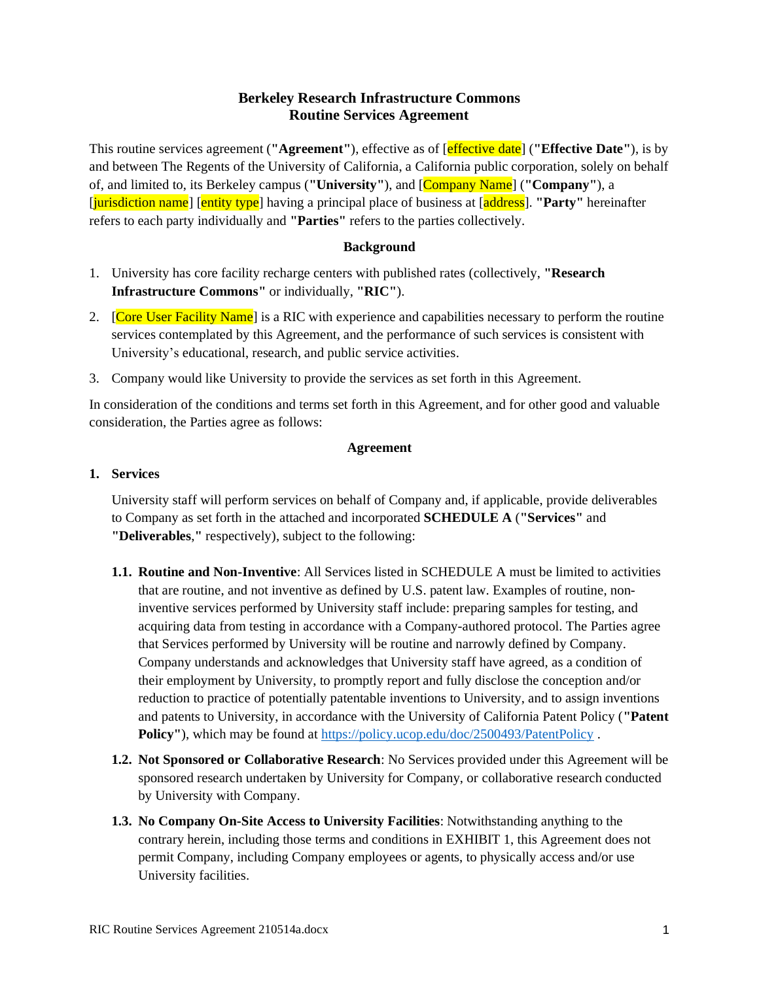# **Berkeley Research Infrastructure Commons Routine Services Agreement**

This routine services agreement (**"Agreement"**), effective as of [effective date] (**"Effective Date"**), is by and between The Regents of the University of California, a California public corporation, solely on behalf of, and limited to, its Berkeley campus (**"University"**), and [Company Name] (**"Company"**), a [jurisdiction name] [entity type] having a principal place of business at [address]. **"Party"** hereinafter refers to each party individually and **"Parties"** refers to the parties collectively.

#### **Background**

- 1. University has core facility recharge centers with published rates (collectively, **"Research Infrastructure Commons"** or individually, **"RIC"**).
- 2. **[Core User Facility Name]** is a RIC with experience and capabilities necessary to perform the routine services contemplated by this Agreement, and the performance of such services is consistent with University's educational, research, and public service activities.
- 3. Company would like University to provide the services as set forth in this Agreement.

In consideration of the conditions and terms set forth in this Agreement, and for other good and valuable consideration, the Parties agree as follows:

#### **Agreement**

#### **1. Services**

University staff will perform services on behalf of Company and, if applicable, provide deliverables to Company as set forth in the attached and incorporated **SCHEDULE A** (**"Services"** and **"Deliverables**,**"** respectively), subject to the following:

- **1.1. Routine and Non-Inventive**: All Services listed in SCHEDULE A must be limited to activities that are routine, and not inventive as defined by U.S. patent law. Examples of routine, noninventive services performed by University staff include: preparing samples for testing, and acquiring data from testing in accordance with a Company-authored protocol. The Parties agree that Services performed by University will be routine and narrowly defined by Company. Company understands and acknowledges that University staff have agreed, as a condition of their employment by University, to promptly report and fully disclose the conception and/or reduction to practice of potentially patentable inventions to University, and to assign inventions and patents to University, in accordance with the University of California Patent Policy (**"Patent Policy''**), which may be found at<https://policy.ucop.edu/doc/2500493/PatentPolicy>.
- **1.2. Not Sponsored or Collaborative Research**: No Services provided under this Agreement will be sponsored research undertaken by University for Company, or collaborative research conducted by University with Company.
- **1.3. No Company On-Site Access to University Facilities**: Notwithstanding anything to the contrary herein, including those terms and conditions in EXHIBIT 1, this Agreement does not permit Company, including Company employees or agents, to physically access and/or use University facilities.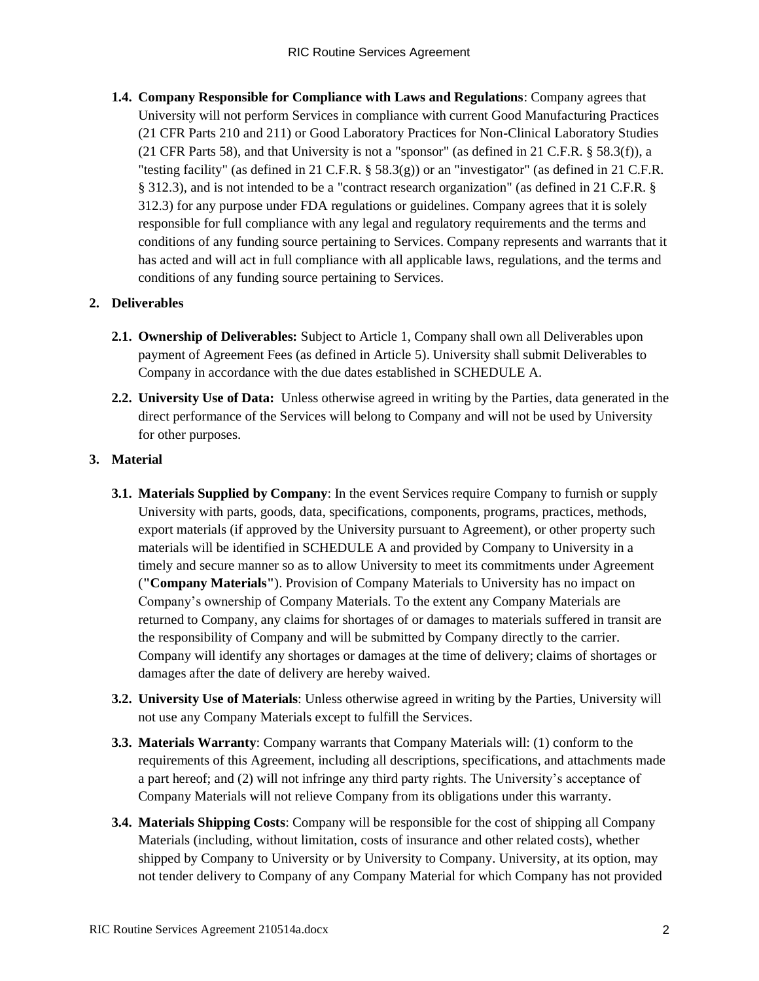**1.4. Company Responsible for Compliance with Laws and Regulations**: Company agrees that University will not perform Services in compliance with current Good Manufacturing Practices (21 CFR Parts 210 and 211) or Good Laboratory Practices for Non-Clinical Laboratory Studies (21 CFR Parts 58), and that University is not a "sponsor" (as defined in 21 C.F.R. § 58.3(f)), a "testing facility" (as defined in 21 C.F.R.  $\S$  58.3(g)) or an "investigator" (as defined in 21 C.F.R. § 312.3), and is not intended to be a "contract research organization" (as defined in 21 C.F.R. § 312.3) for any purpose under FDA regulations or guidelines. Company agrees that it is solely responsible for full compliance with any legal and regulatory requirements and the terms and conditions of any funding source pertaining to Services. Company represents and warrants that it has acted and will act in full compliance with all applicable laws, regulations, and the terms and conditions of any funding source pertaining to Services.

# **2. Deliverables**

- **2.1. Ownership of Deliverables:** Subject to Article 1, Company shall own all Deliverables upon payment of Agreement Fees (as defined in Article 5). University shall submit Deliverables to Company in accordance with the due dates established in SCHEDULE A.
- **2.2. University Use of Data:** Unless otherwise agreed in writing by the Parties, data generated in the direct performance of the Services will belong to Company and will not be used by University for other purposes.

# **3. Material**

- **3.1. Materials Supplied by Company**: In the event Services require Company to furnish or supply University with parts, goods, data, specifications, components, programs, practices, methods, export materials (if approved by the University pursuant to Agreement), or other property such materials will be identified in SCHEDULE A and provided by Company to University in a timely and secure manner so as to allow University to meet its commitments under Agreement (**"Company Materials"**). Provision of Company Materials to University has no impact on Company's ownership of Company Materials. To the extent any Company Materials are returned to Company, any claims for shortages of or damages to materials suffered in transit are the responsibility of Company and will be submitted by Company directly to the carrier. Company will identify any shortages or damages at the time of delivery; claims of shortages or damages after the date of delivery are hereby waived.
- **3.2. University Use of Materials**: Unless otherwise agreed in writing by the Parties, University will not use any Company Materials except to fulfill the Services.
- **3.3. Materials Warranty**: Company warrants that Company Materials will: (1) conform to the requirements of this Agreement, including all descriptions, specifications, and attachments made a part hereof; and (2) will not infringe any third party rights. The University's acceptance of Company Materials will not relieve Company from its obligations under this warranty.
- **3.4. Materials Shipping Costs**: Company will be responsible for the cost of shipping all Company Materials (including, without limitation, costs of insurance and other related costs), whether shipped by Company to University or by University to Company. University, at its option, may not tender delivery to Company of any Company Material for which Company has not provided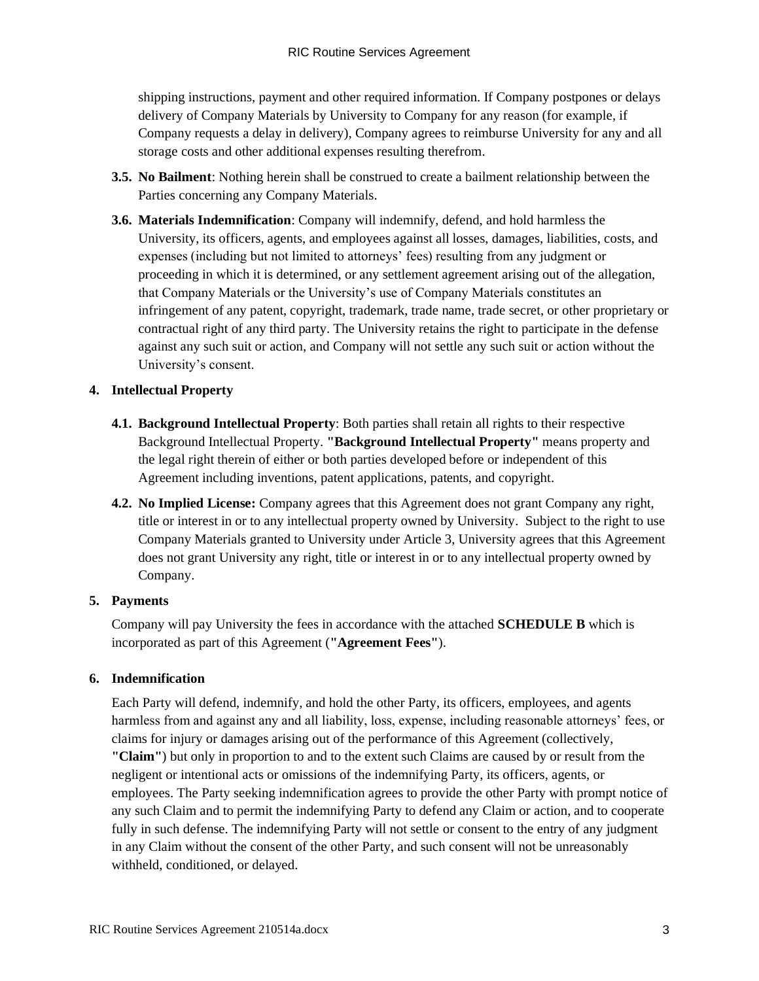shipping instructions, payment and other required information. If Company postpones or delays delivery of Company Materials by University to Company for any reason (for example, if Company requests a delay in delivery), Company agrees to reimburse University for any and all storage costs and other additional expenses resulting therefrom.

- **3.5. No Bailment**: Nothing herein shall be construed to create a bailment relationship between the Parties concerning any Company Materials.
- **3.6. Materials Indemnification**: Company will indemnify, defend, and hold harmless the University, its officers, agents, and employees against all losses, damages, liabilities, costs, and expenses (including but not limited to attorneys' fees) resulting from any judgment or proceeding in which it is determined, or any settlement agreement arising out of the allegation, that Company Materials or the University's use of Company Materials constitutes an infringement of any patent, copyright, trademark, trade name, trade secret, or other proprietary or contractual right of any third party. The University retains the right to participate in the defense against any such suit or action, and Company will not settle any such suit or action without the University's consent.

### **4. Intellectual Property**

- **4.1. Background Intellectual Property**: Both parties shall retain all rights to their respective Background Intellectual Property. **"Background Intellectual Property"** means property and the legal right therein of either or both parties developed before or independent of this Agreement including inventions, patent applications, patents, and copyright.
- **4.2. No Implied License:** Company agrees that this Agreement does not grant Company any right, title or interest in or to any intellectual property owned by University. Subject to the right to use Company Materials granted to University under Article 3, University agrees that this Agreement does not grant University any right, title or interest in or to any intellectual property owned by Company.

## **5. Payments**

Company will pay University the fees in accordance with the attached **SCHEDULE B** which is incorporated as part of this Agreement (**"Agreement Fees"**).

## **6. Indemnification**

Each Party will defend, indemnify, and hold the other Party, its officers, employees, and agents harmless from and against any and all liability, loss, expense, including reasonable attorneys' fees, or claims for injury or damages arising out of the performance of this Agreement (collectively, **"Claim"**) but only in proportion to and to the extent such Claims are caused by or result from the negligent or intentional acts or omissions of the indemnifying Party, its officers, agents, or employees. The Party seeking indemnification agrees to provide the other Party with prompt notice of any such Claim and to permit the indemnifying Party to defend any Claim or action, and to cooperate fully in such defense. The indemnifying Party will not settle or consent to the entry of any judgment in any Claim without the consent of the other Party, and such consent will not be unreasonably withheld, conditioned, or delayed.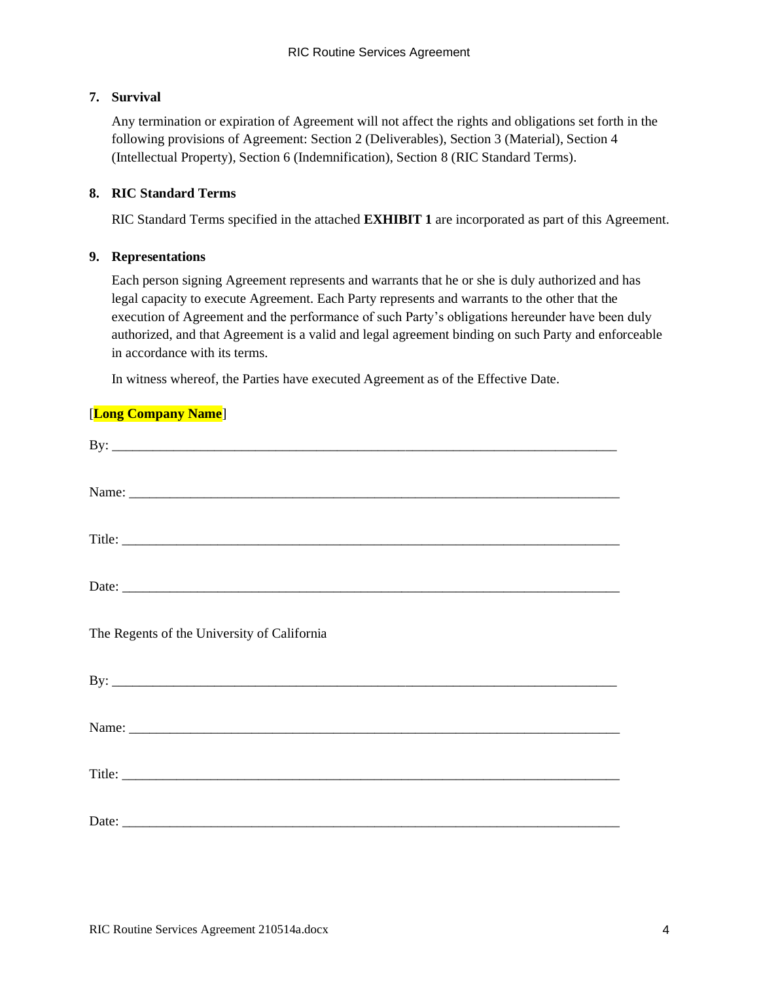## **7. Survival**

Any termination or expiration of Agreement will not affect the rights and obligations set forth in the following provisions of Agreement: Section 2 (Deliverables), Section 3 (Material), Section 4 (Intellectual Property), Section 6 (Indemnification), Section 8 (RIC Standard Terms).

### **8. RIC Standard Terms**

RIC Standard Terms specified in the attached **EXHIBIT 1** are incorporated as part of this Agreement.

### **9. Representations**

Each person signing Agreement represents and warrants that he or she is duly authorized and has legal capacity to execute Agreement. Each Party represents and warrants to the other that the execution of Agreement and the performance of such Party's obligations hereunder have been duly authorized, and that Agreement is a valid and legal agreement binding on such Party and enforceable in accordance with its terms.

In witness whereof, the Parties have executed Agreement as of the Effective Date.

## [**Long Company Name**]

| By: $\overline{\phantom{a}}$                |  |
|---------------------------------------------|--|
|                                             |  |
|                                             |  |
|                                             |  |
| The Regents of the University of California |  |
| By: $\overline{\phantom{a}}$                |  |
|                                             |  |
|                                             |  |
|                                             |  |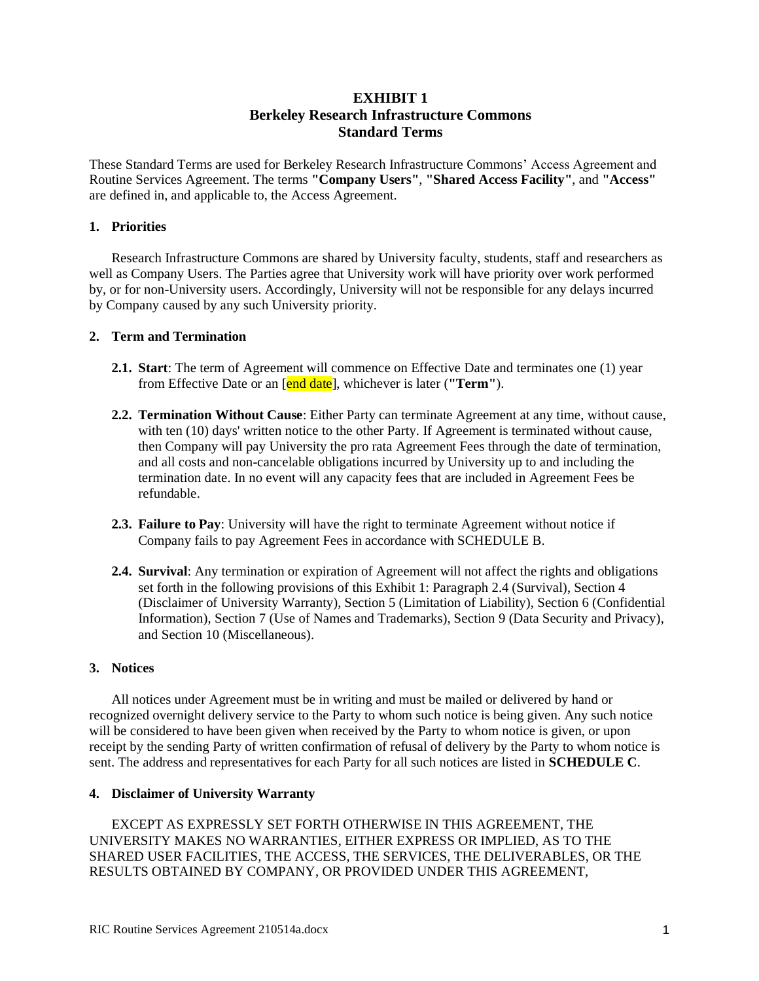# **EXHIBIT 1 Berkeley Research Infrastructure Commons Standard Terms**

These Standard Terms are used for Berkeley Research Infrastructure Commons' Access Agreement and Routine Services Agreement. The terms **"Company Users"**, **"Shared Access Facility"**, and **"Access"** are defined in, and applicable to, the Access Agreement.

#### **1. Priorities**

Research Infrastructure Commons are shared by University faculty, students, staff and researchers as well as Company Users. The Parties agree that University work will have priority over work performed by, or for non-University users. Accordingly, University will not be responsible for any delays incurred by Company caused by any such University priority.

#### **2. Term and Termination**

- **2.1. Start**: The term of Agreement will commence on Effective Date and terminates one (1) year from Effective Date or an [end date], whichever is later (**"Term"**).
- **2.2. Termination Without Cause**: Either Party can terminate Agreement at any time, without cause, with ten (10) days' written notice to the other Party. If Agreement is terminated without cause, then Company will pay University the pro rata Agreement Fees through the date of termination, and all costs and non-cancelable obligations incurred by University up to and including the termination date. In no event will any capacity fees that are included in Agreement Fees be refundable.
- **2.3. Failure to Pay**: University will have the right to terminate Agreement without notice if Company fails to pay Agreement Fees in accordance with SCHEDULE B.
- **2.4. Survival**: Any termination or expiration of Agreement will not affect the rights and obligations set forth in the following provisions of this Exhibit 1: Paragraph 2.4 (Survival), Section 4 (Disclaimer of University Warranty), Section 5 (Limitation of Liability), Section 6 (Confidential Information), Section 7 (Use of Names and Trademarks), Section 9 (Data Security and Privacy), and Section 10 (Miscellaneous).

#### **3. Notices**

All notices under Agreement must be in writing and must be mailed or delivered by hand or recognized overnight delivery service to the Party to whom such notice is being given. Any such notice will be considered to have been given when received by the Party to whom notice is given, or upon receipt by the sending Party of written confirmation of refusal of delivery by the Party to whom notice is sent. The address and representatives for each Party for all such notices are listed in **SCHEDULE C**.

#### **4. Disclaimer of University Warranty**

EXCEPT AS EXPRESSLY SET FORTH OTHERWISE IN THIS AGREEMENT, THE UNIVERSITY MAKES NO WARRANTIES, EITHER EXPRESS OR IMPLIED, AS TO THE SHARED USER FACILITIES, THE ACCESS, THE SERVICES, THE DELIVERABLES, OR THE RESULTS OBTAINED BY COMPANY, OR PROVIDED UNDER THIS AGREEMENT,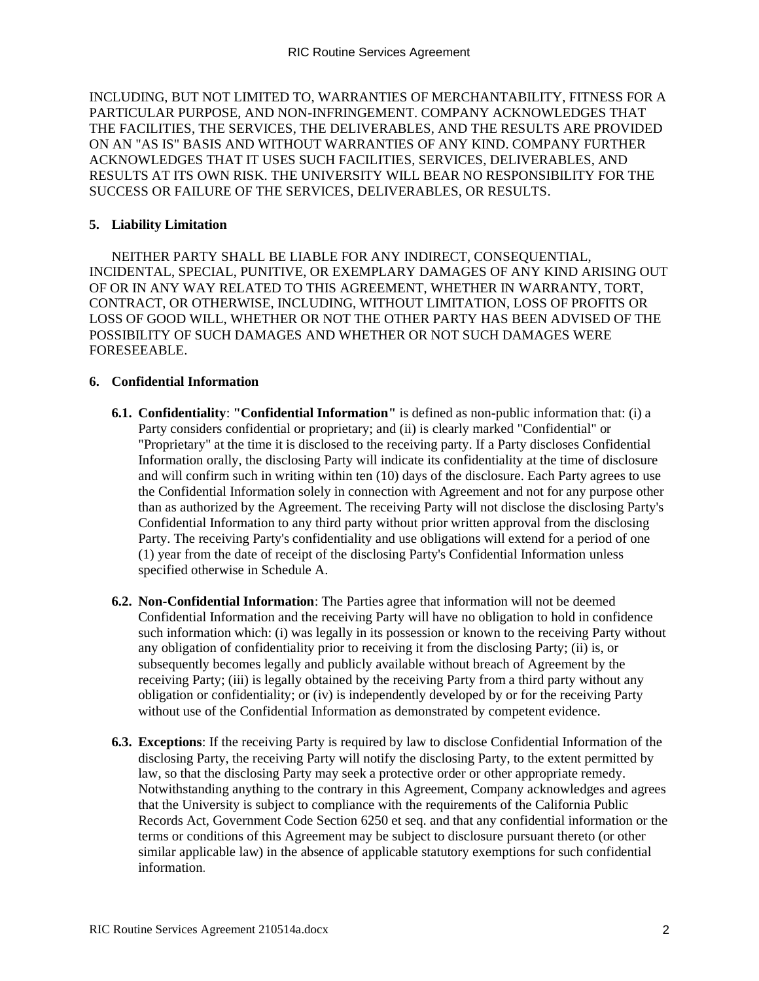INCLUDING, BUT NOT LIMITED TO, WARRANTIES OF MERCHANTABILITY, FITNESS FOR A PARTICULAR PURPOSE, AND NON-INFRINGEMENT. COMPANY ACKNOWLEDGES THAT THE FACILITIES, THE SERVICES, THE DELIVERABLES, AND THE RESULTS ARE PROVIDED ON AN "AS IS" BASIS AND WITHOUT WARRANTIES OF ANY KIND. COMPANY FURTHER ACKNOWLEDGES THAT IT USES SUCH FACILITIES, SERVICES, DELIVERABLES, AND RESULTS AT ITS OWN RISK. THE UNIVERSITY WILL BEAR NO RESPONSIBILITY FOR THE SUCCESS OR FAILURE OF THE SERVICES, DELIVERABLES, OR RESULTS.

#### **5. Liability Limitation**

NEITHER PARTY SHALL BE LIABLE FOR ANY INDIRECT, CONSEQUENTIAL, INCIDENTAL, SPECIAL, PUNITIVE, OR EXEMPLARY DAMAGES OF ANY KIND ARISING OUT OF OR IN ANY WAY RELATED TO THIS AGREEMENT, WHETHER IN WARRANTY, TORT, CONTRACT, OR OTHERWISE, INCLUDING, WITHOUT LIMITATION, LOSS OF PROFITS OR LOSS OF GOOD WILL, WHETHER OR NOT THE OTHER PARTY HAS BEEN ADVISED OF THE POSSIBILITY OF SUCH DAMAGES AND WHETHER OR NOT SUCH DAMAGES WERE FORESEEABLE.

#### **6. Confidential Information**

- **6.1. Confidentiality**: **"Confidential Information"** is defined as non-public information that: (i) a Party considers confidential or proprietary; and (ii) is clearly marked "Confidential" or "Proprietary" at the time it is disclosed to the receiving party. If a Party discloses Confidential Information orally, the disclosing Party will indicate its confidentiality at the time of disclosure and will confirm such in writing within ten (10) days of the disclosure. Each Party agrees to use the Confidential Information solely in connection with Agreement and not for any purpose other than as authorized by the Agreement. The receiving Party will not disclose the disclosing Party's Confidential Information to any third party without prior written approval from the disclosing Party. The receiving Party's confidentiality and use obligations will extend for a period of one (1) year from the date of receipt of the disclosing Party's Confidential Information unless specified otherwise in Schedule A.
- **6.2. Non-Confidential Information**: The Parties agree that information will not be deemed Confidential Information and the receiving Party will have no obligation to hold in confidence such information which: (i) was legally in its possession or known to the receiving Party without any obligation of confidentiality prior to receiving it from the disclosing Party; (ii) is, or subsequently becomes legally and publicly available without breach of Agreement by the receiving Party; (iii) is legally obtained by the receiving Party from a third party without any obligation or confidentiality; or (iv) is independently developed by or for the receiving Party without use of the Confidential Information as demonstrated by competent evidence.
- **6.3. Exceptions**: If the receiving Party is required by law to disclose Confidential Information of the disclosing Party, the receiving Party will notify the disclosing Party, to the extent permitted by law, so that the disclosing Party may seek a protective order or other appropriate remedy. Notwithstanding anything to the contrary in this Agreement, Company acknowledges and agrees that the University is subject to compliance with the requirements of the California Public Records Act, Government Code Section 6250 et seq. and that any confidential information or the terms or conditions of this Agreement may be subject to disclosure pursuant thereto (or other similar applicable law) in the absence of applicable statutory exemptions for such confidential information.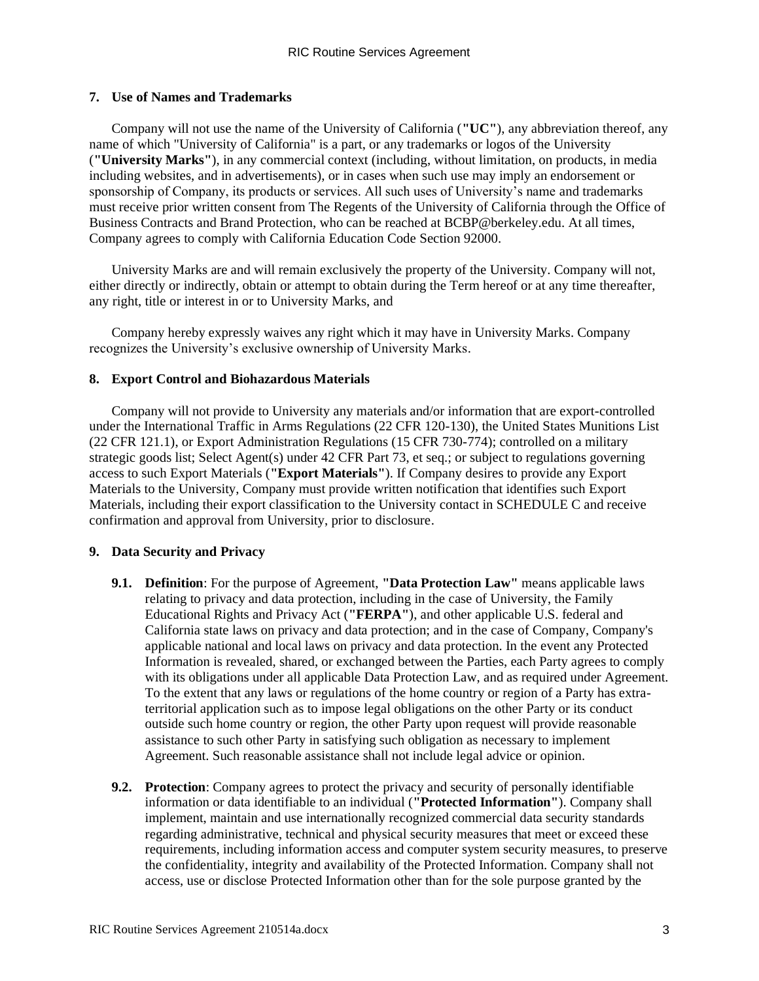### **7. Use of Names and Trademarks**

Company will not use the name of the University of California (**"UC"**), any abbreviation thereof, any name of which "University of California" is a part, or any trademarks or logos of the University (**"University Marks"**), in any commercial context (including, without limitation, on products, in media including websites, and in advertisements), or in cases when such use may imply an endorsement or sponsorship of Company, its products or services. All such uses of University's name and trademarks must receive prior written consent from The Regents of the University of California through the Office of Business Contracts and Brand Protection, who can be reached at BCBP@berkeley.edu. At all times, Company agrees to comply with California Education Code Section 92000.

University Marks are and will remain exclusively the property of the University. Company will not, either directly or indirectly, obtain or attempt to obtain during the Term hereof or at any time thereafter, any right, title or interest in or to University Marks, and

Company hereby expressly waives any right which it may have in University Marks. Company recognizes the University's exclusive ownership of University Marks.

### **8. Export Control and Biohazardous Materials**

Company will not provide to University any materials and/or information that are export-controlled under the International Traffic in Arms Regulations (22 CFR 120-130), the United States Munitions List (22 CFR 121.1), or Export Administration Regulations (15 CFR 730-774); controlled on a military strategic goods list; Select Agent(s) under 42 CFR Part 73, et seq.; or subject to regulations governing access to such Export Materials (**"Export Materials"**). If Company desires to provide any Export Materials to the University, Company must provide written notification that identifies such Export Materials, including their export classification to the University contact in SCHEDULE C and receive confirmation and approval from University, prior to disclosure.

## **9. Data Security and Privacy**

- **9.1. Definition**: For the purpose of Agreement, **"Data Protection Law"** means applicable laws relating to privacy and data protection, including in the case of University, the Family Educational Rights and Privacy Act (**"FERPA"**), and other applicable U.S. federal and California state laws on privacy and data protection; and in the case of Company, Company's applicable national and local laws on privacy and data protection. In the event any Protected Information is revealed, shared, or exchanged between the Parties, each Party agrees to comply with its obligations under all applicable Data Protection Law, and as required under Agreement. To the extent that any laws or regulations of the home country or region of a Party has extraterritorial application such as to impose legal obligations on the other Party or its conduct outside such home country or region, the other Party upon request will provide reasonable assistance to such other Party in satisfying such obligation as necessary to implement Agreement. Such reasonable assistance shall not include legal advice or opinion.
- **9.2. Protection**: Company agrees to protect the privacy and security of personally identifiable information or data identifiable to an individual (**"Protected Information"**). Company shall implement, maintain and use internationally recognized commercial data security standards regarding administrative, technical and physical security measures that meet or exceed these requirements, including information access and computer system security measures, to preserve the confidentiality, integrity and availability of the Protected Information. Company shall not access, use or disclose Protected Information other than for the sole purpose granted by the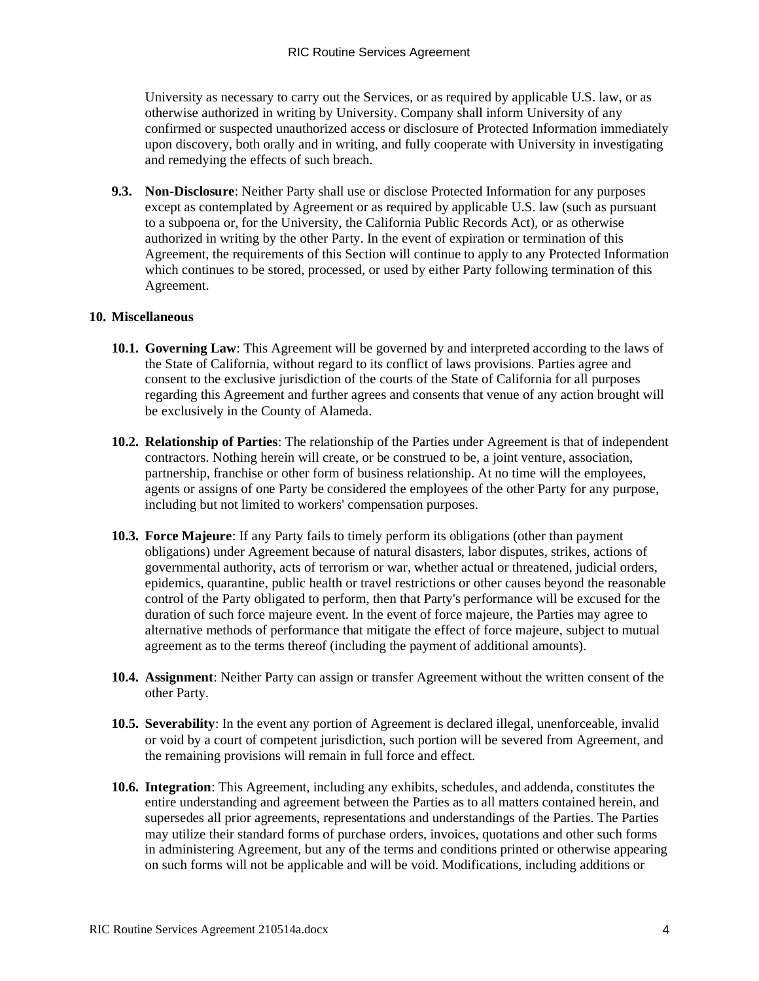University as necessary to carry out the Services, or as required by applicable U.S. law, or as otherwise authorized in writing by University. Company shall inform University of any confirmed or suspected unauthorized access or disclosure of Protected Information immediately upon discovery, both orally and in writing, and fully cooperate with University in investigating and remedying the effects of such breach.

**9.3. Non-Disclosure**: Neither Party shall use or disclose Protected Information for any purposes except as contemplated by Agreement or as required by applicable U.S. law (such as pursuant to a subpoena or, for the University, the California Public Records Act), or as otherwise authorized in writing by the other Party. In the event of expiration or termination of this Agreement, the requirements of this Section will continue to apply to any Protected Information which continues to be stored, processed, or used by either Party following termination of this Agreement.

### **10. Miscellaneous**

- **10.1. Governing Law**: This Agreement will be governed by and interpreted according to the laws of the State of California, without regard to its conflict of laws provisions. Parties agree and consent to the exclusive jurisdiction of the courts of the State of California for all purposes regarding this Agreement and further agrees and consents that venue of any action brought will be exclusively in the County of Alameda.
- **10.2. Relationship of Parties**: The relationship of the Parties under Agreement is that of independent contractors. Nothing herein will create, or be construed to be, a joint venture, association, partnership, franchise or other form of business relationship. At no time will the employees, agents or assigns of one Party be considered the employees of the other Party for any purpose, including but not limited to workers' compensation purposes.
- **10.3. Force Majeure**: If any Party fails to timely perform its obligations (other than payment obligations) under Agreement because of natural disasters, labor disputes, strikes, actions of governmental authority, acts of terrorism or war, whether actual or threatened, judicial orders, epidemics, quarantine, public health or travel restrictions or other causes beyond the reasonable control of the Party obligated to perform, then that Party's performance will be excused for the duration of such force majeure event. In the event of force majeure, the Parties may agree to alternative methods of performance that mitigate the effect of force majeure, subject to mutual agreement as to the terms thereof (including the payment of additional amounts).
- **10.4. Assignment**: Neither Party can assign or transfer Agreement without the written consent of the other Party.
- **10.5. Severability**: In the event any portion of Agreement is declared illegal, unenforceable, invalid or void by a court of competent jurisdiction, such portion will be severed from Agreement, and the remaining provisions will remain in full force and effect.
- **10.6. Integration**: This Agreement, including any exhibits, schedules, and addenda, constitutes the entire understanding and agreement between the Parties as to all matters contained herein, and supersedes all prior agreements, representations and understandings of the Parties. The Parties may utilize their standard forms of purchase orders, invoices, quotations and other such forms in administering Agreement, but any of the terms and conditions printed or otherwise appearing on such forms will not be applicable and will be void. Modifications, including additions or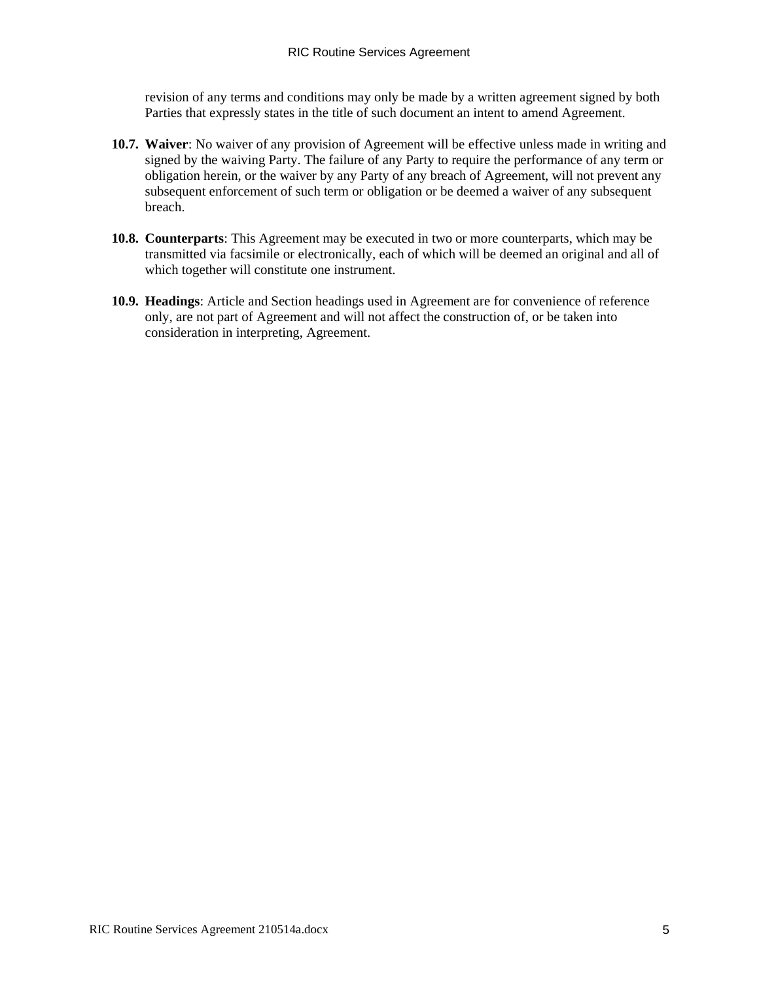revision of any terms and conditions may only be made by a written agreement signed by both Parties that expressly states in the title of such document an intent to amend Agreement.

- **10.7. Waiver**: No waiver of any provision of Agreement will be effective unless made in writing and signed by the waiving Party. The failure of any Party to require the performance of any term or obligation herein, or the waiver by any Party of any breach of Agreement, will not prevent any subsequent enforcement of such term or obligation or be deemed a waiver of any subsequent breach.
- **10.8. Counterparts**: This Agreement may be executed in two or more counterparts, which may be transmitted via facsimile or electronically, each of which will be deemed an original and all of which together will constitute one instrument.
- **10.9. Headings**: Article and Section headings used in Agreement are for convenience of reference only, are not part of Agreement and will not affect the construction of, or be taken into consideration in interpreting, Agreement.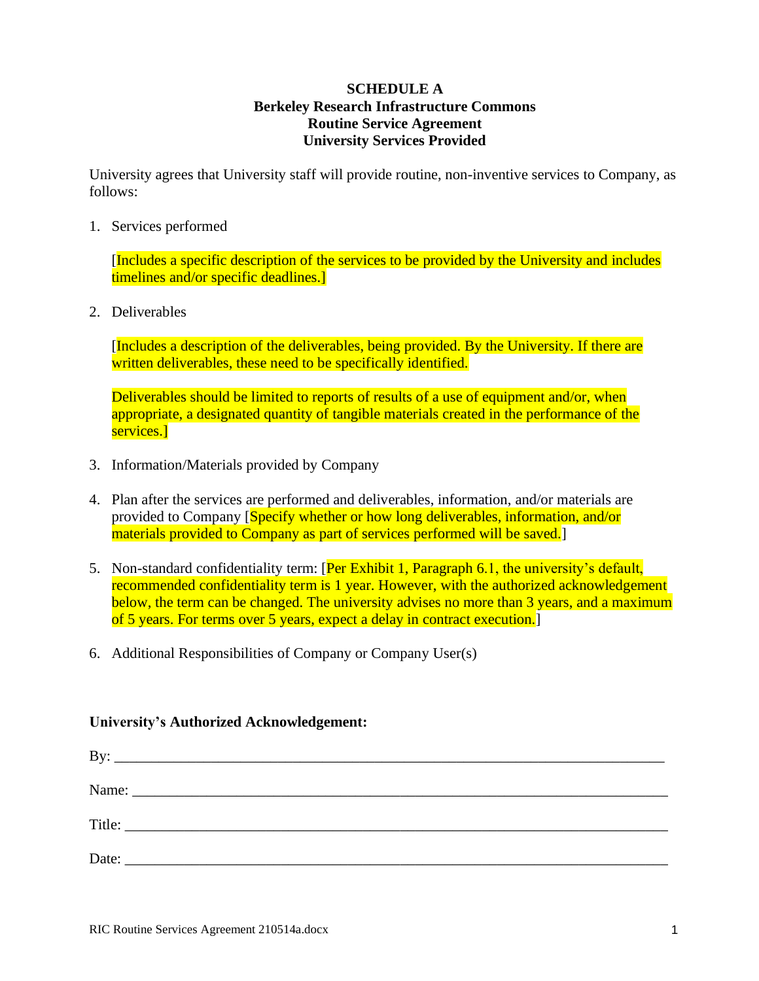# **SCHEDULE A Berkeley Research Infrastructure Commons Routine Service Agreement University Services Provided**

University agrees that University staff will provide routine, non-inventive services to Company, as follows:

1. Services performed

[Includes a specific description of the services to be provided by the University and includes timelines and/or specific deadlines.]

2. Deliverables

[Includes a description of the deliverables, being provided. By the University. If there are written deliverables, these need to be specifically identified.

Deliverables should be limited to reports of results of a use of equipment and/or, when appropriate, a designated quantity of tangible materials created in the performance of the services.]

- 3. Information/Materials provided by Company
- 4. Plan after the services are performed and deliverables, information, and/or materials are provided to Company [Specify whether or how long deliverables, information, and/or materials provided to Company as part of services performed will be saved.
- 5. Non-standard confidentiality term: [Per Exhibit 1, Paragraph 6.1, the university's default, recommended confidentiality term is 1 year. However, with the authorized acknowledgement below, the term can be changed. The university advises no more than 3 years, and a maximum of 5 years. For terms over 5 years, expect a delay in contract execution.]
- 6. Additional Responsibilities of Company or Company User(s)

## **University's Authorized Acknowledgement:**

| By: | <u> 1989 - Johann Stoff, amerikansk politiker (d. 1989)</u> |  |  |
|-----|-------------------------------------------------------------|--|--|
|     |                                                             |  |  |
|     |                                                             |  |  |
|     |                                                             |  |  |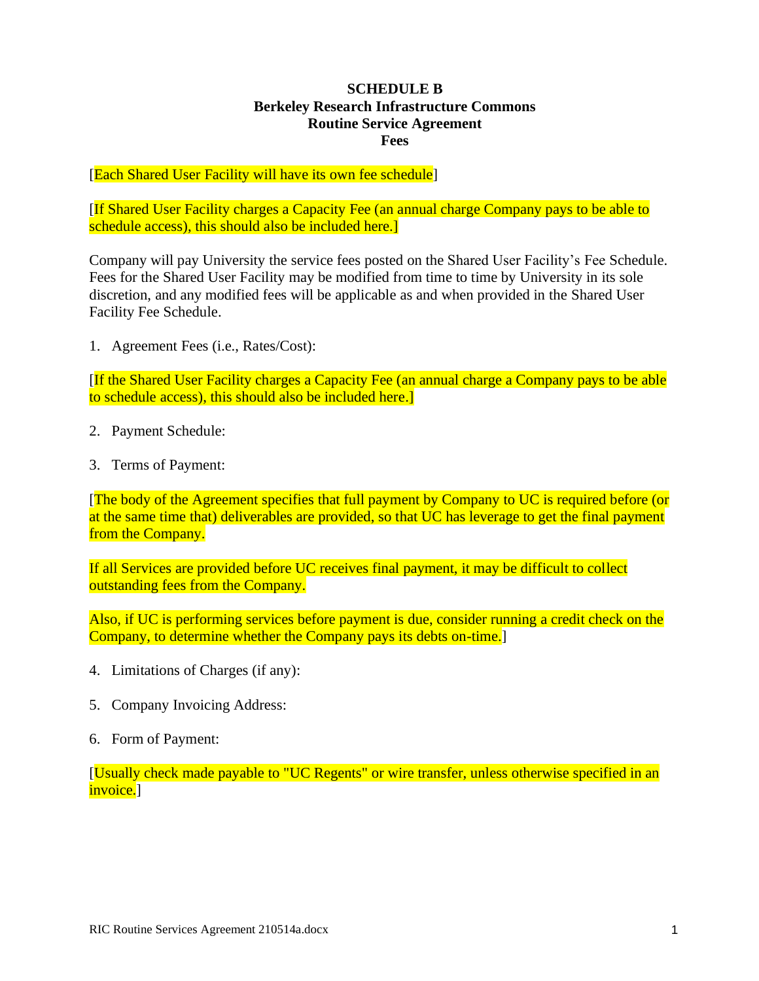# **SCHEDULE B Berkeley Research Infrastructure Commons Routine Service Agreement Fees**

[Each Shared User Facility will have its own fee schedule]

[If Shared User Facility charges a Capacity Fee (an annual charge Company pays to be able to schedule access), this should also be included here.

Company will pay University the service fees posted on the Shared User Facility's Fee Schedule. Fees for the Shared User Facility may be modified from time to time by University in its sole discretion, and any modified fees will be applicable as and when provided in the Shared User Facility Fee Schedule.

1. Agreement Fees (i.e., Rates/Cost):

[If the Shared User Facility charges a Capacity Fee (an annual charge a Company pays to be able to schedule access), this should also be included here.]

- 2. Payment Schedule:
- 3. Terms of Payment:

[The body of the Agreement specifies that full payment by Company to UC is required before (or at the same time that) deliverables are provided, so that UC has leverage to get the final payment from the Company.

If all Services are provided before UC receives final payment, it may be difficult to collect outstanding fees from the Company.

Also, if UC is performing services before payment is due, consider running a credit check on the Company, to determine whether the Company pays its debts on-time.]

- 4. Limitations of Charges (if any):
- 5. Company Invoicing Address:
- 6. Form of Payment:

[Usually check made payable to "UC Regents" or wire transfer, unless otherwise specified in an invoice.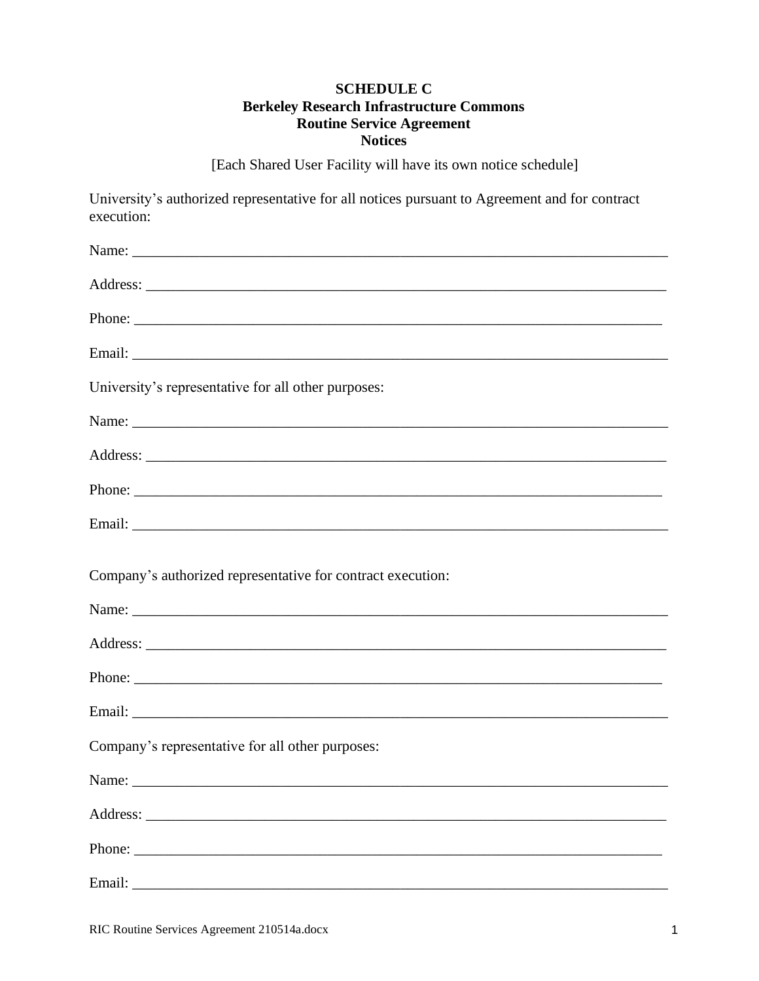# **SCHEDULE C Berkeley Research Infrastructure Commons Routine Service Agreement Notices**

[Each Shared User Facility will have its own notice schedule]

University's authorized representative for all notices pursuant to Agreement and for contract execution:

| University's representative for all other purposes:         |
|-------------------------------------------------------------|
|                                                             |
|                                                             |
|                                                             |
|                                                             |
| Company's authorized representative for contract execution: |
|                                                             |
|                                                             |
|                                                             |
|                                                             |
| Company's representative for all other purposes:            |
|                                                             |
|                                                             |
| Phone:                                                      |
|                                                             |